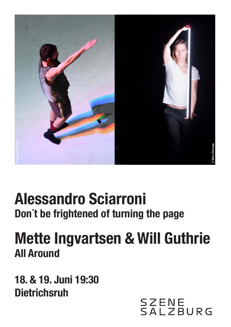

# **Alessandro Sciarroni Don´t be frightened of turning the page**

# **Mette Ingvartsen & Will Guthrie All Around**

**18. & 19. Juni 19:30**

SZENE<br>SALZBURG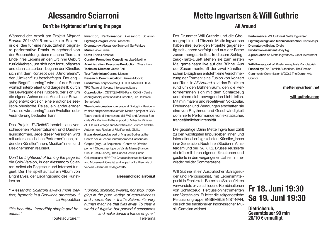### **Alessandro Sciarroni**

#### **Don´t be frightened of turning the page**

Während der Arbeit am Projekt *Migrant Bodies* 2014/2015 entwickelte Sciarroni die Idee für eine neue, zutiefst originäre performative Praxis. Ausgehend von der Beobachtung, dass manche Tiere am Ende ihres Lebens an den Ort ihrer Geburt zurückkehren, um sich dort fortzupflanzen und dann zu sterben, begann der Künstler, sich mit dem Konzept des "Umdrehens", der "Umkehr" zu beschäftigen. Der englische Begriff "turning" wird auf der Bühne wörtlich interpretiert und dargestellt: durch die Bewegung eines Körpers, der sich um die eigene Achse dreht. Aus dieser Bewegung entwickelt sich eine emotionale seelisch-physische Reise, ein andauernder Tanz, so wie "turning" auch Evolution oder Veränderung bedeuten kann.

Das Projekt *TURNING* besteht aus verschiedenen Präsentationen und Darstelleungsformen. Jede dieser Versionen wird mit unterschiedlichen Performer\*innen, bildenden Künstler\*innen, Musiker\*innen und Designer\*innen realisiert.

*Don´t be frightened of turning the page* ist die Solo-Version, in der Alessandro Sciarroni selbst als Regisseur und Interpret fungiert. Der Titel spielt auf auf ein Album von Bright Eyes, der Lieblingsband des Künstlers an.

*" Alessandro Sciarroni always more perfect, hypnotic in a Derwiche dramatury. "*  La Reppublica

*"It's beautiful. Incredibly simple and beautiful."* 

Toutelaculture.fr

**Invention, Performance:** Alessandro Sciarroni **Lighting Design:** Rocco Giansante **Dramaturgy:** Alessandro Sciarroni, Su-Feh Lee **Music** Paolo Persia **Outfit** Ettore Lombardi **Curator, Promotion, Consulting:** Lisa Gilardino **Administration, Executive Production:** Chiara Fava **Technical Director:** Valeria Foti **Tour Technician:** Cosimo Maggini **Research, Communication:** Damien Modolo **Production:** corpoceleste\_C.C.00#. MARCHE TEA-TRO Teatro di rilevante interesse culturale **Coproduction:** CENTQUATRE-Paris, CCN2 - Centre chorégraphique national de Grenoble, Les Halles de Schaerbeek **The show's creation** took place at Dialoghi – Residen-

ze delle arti performative at Villa Manin a project of CSS Teatro stabile di innovazione del FVG and Azienda Speciale Villa Manin with the support of Mibact – Ministry of Cultural Heritage and Activities and Tourism and the Autonomous Region of Friuli Venezia Giulia. **It was developed** as part of Migrant Bodies at the Centro per la Scena Contemporanea Bassano del Grappa (Italy), La Briqueterie – Centre de Développement Chorégraphique du Val de Marne (France), Circuit-Est (Quebéc), The Dance Centre (British Columbia) and HIPP The Croatian Institute for Dance and Movement (Croatia) and as part of La Biennale di Venezia – Biennale College 2015.

#### **alessandrosciarroni.it**

*"Turning, spinning, twirling, nonstop, indulging in the pure vertigo of repetitiveness and momentum - that's Sciarroni's very human machine that flies away. To clear a world of fugitive but powerful sensations and make dance a trance engine."* Télérama

## **Mette Ingvartsen & Will Guthrie**

#### **All Around**

Der Drummer Will Guthrie und die Choreographin und Tänzerin Mette Ingvartsen haben ihre jeweiligen Projekte gegenseitig seit Jahren verfolgt und aus der Ferne zusammengearbeitet. In diesem Schlagzeug-Tanz-Duett stehen sie zum ersten Mal gemeinsam live auf der Bühne. Aus der Zusammenkunft der zwei künstlerischen Disziplinen entsteht eine Verschmelzung der Formen: eine Fusion von Konzert und Tanz. In *All Around* sitzt das Publikum rund um den Bühnenraum, den die Performer\*innen sich mit dem Schlagzeug und einem sich bewegenden Licht teilen. Mit minimalem und repetitivem Vokabular, Drehungen und Wendungen erschaffen sie eine von Rhythmus und Geschwindigkeit dominierte Performance von ekstatischer, tranceähnlicher Intensität.

Die gebürtige Dänin Mette Ingvartsen zählt zu den wichtigsten Impulsgeber innen und international erfolgreichsten Künstler innen ihrer Generation. Nach ihren Studien in Amsterdam und bei PA R T.S. Brüssel reüssierte sie früh mit ihren eigenen Kreationen und gastierte in den vergangenen Jahren immer wieder bei der Sommerszene.

Will Guthrie ist ein Australischer Schlagzeuger und Percussionist, mit Lebensmittelpunkt in Frankreich. Bei seinen Soloauftritten verwendete er verschiedene Kombinationen von Schlagzeug, Percussioninstrumenten und Verstärkern. Er leitet die zeitgenössiche Percussiongruppe ENSEMBLE NIST-NAH, die sich der traditionellen Indonesischen Musik Gamelan widmet.

**Performance:** Will Guthrie & Mette Ingvartsen **Lighting design and technical direction:** Hans Meijer **Dramaturgy:** Bojana Cvejic **Production assistant:** Joey Ng **A production of:** Mette Ingvartsen / Great Investment vzw **With the support of:** Kustenwerkplaats Pianofabriek

**Funded by:** The Flemish Authorities, The Flemish Community Commission (VGC) & The Danish Arts Council.

#### **metteingvartsen.net**

**will-guthrie.com**

## **Fr 18. Juni 19:30 Sa 19. Juni 19:30**

**Dietrichsruh, Gesamtdauer 90 min 20/10 € ermäßigt**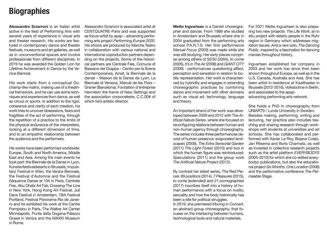## **Biographies**

**Alessandro Sciarroni** is an Italian artist active in the field of Performing Arts with several years of experience in visual arts and theater research. His works are featured in contemporary dance and theater festivals, museums and art galleries, as well as in unconventional spaces and involve professionals from different disciplines. In 2019 he was awarded the Golden Lion for Lifetime Achievement in Dance by the Venice Biennial.

His work starts from a conceptual Duchamp-like matrix, making use of a theatrical framework, and he can use some techniques and experiences from dance, as well as circus or sports. In addition to the rigor, coherence and clarity of each creation, his work tries to uncover obsessions, fears and fragilities of the act of performing, through the repetition of a practice to the limits of the physical endurance of the interpreters, looking at a different dimension of time, and to an empathic relationship between the audience and the performers.

His works have been performed worldwide: Europe, South and North America, Middle East and Asia. Among the main events he took part: the Biennale de la Danse in Lyon, Kunstenfestivaldesarts in Brussels, Impulstanz Festival in Wien, the Venice Biennale, the Festival d'Automne and the Festival Séquence Danse at 104 in Paris, Centrale Fies, Abu Dhabi Art Fair, Crossing The Line in New York, Hong Kong Art Festval, Juli Dans Festival in Amsterdam, TBA Festival Portland, Festival Panorama Rio de Janeiro and he exhibited his work at the Centre Pompidou in Paris, The Walker Art Center Minneapolis, Punta della Dogana-Palazzo Grassi in Venice and the MAXXI Museum in Rome.

Alessandro Sciarroni is associated artist at CENTQUATRE-Paris and was supported as focus-artist by apap – advancing performing arts project *Performing Europe 2020*. His shows are produced by Marche Teatro in collaboration with various national and international coproduction partners depending on the projects. Some of the historical partners are Centrale Fies, Comune di Bassano del Grappa – Centro per la Scena Contemporanea, Amat, la Biennale de la danse – Maison de la Danse de Lyon, La Biennale di Venezia, Mercat de les Flors – Graner (Barcelona), Fondation d'entreprise Hermèsin the frame of New Settings and the association corpoceleste\_C.C.00# of which he's artistic director.

**Mette Ingvartsen** is a Danish choreographer and dancer. From 1999 she studied in Amsterdam and Brussels where she in 2004 graduated from the performing arts school P.A.R.T.S. Her first performance *Manual Focus* (2003) was made while she was still studying. Her early pieces comprise among others of *50/50* (2004), *to come* (2005), *It's in The Air* (2008) and *GIANT CITY* (2009) - performances questioning affect, perception and sensation in relation to bodily representation. Her work is characterized by hybridity and engages in extending choreographic practices by combining dance and movement with other domains such as visual art, technology, language and theory.

An important strand of her work was developed between 2009 and 2012 with *The Artificial Nature Series*, where she focused on reconfiguring relations between human and non-human agency through choreography. The series includes three performances devoid of human presence: *evaporated landscapes* (2009), *The Extra Sensorial Garden* (2011) *The Light Forest* (2010) and two in which the human figure was reintroduced: *Speculations* (2011) and the group work *The Artificial Nature Project* (2012).

By contrast her latest series, The Red Pieces: *69 positions* (2014), *7 Pleasures* (2015), *to come (extended)* and *21 pornographies* (2017) inscribes itself into a history of human performance with a focus on nudity, sexuality and how the body historically has been a site for political struggles. In 2019, she premiered *Moving in Concert*, an abstract group choreography, that focuses on the interlacing between humans, technological tools and natural materials.

For 2021 Mette Ingvartsen is also preparing two new projects: *The Life Work*, an in situ project with elderly people in the Ruhr region in Germany which addresses migration issues. And a new solo, *The Dancing Public*, inspired by a fascination for dancing manias throughout history.

Ingvartsen established her company in 2003 and her work has since then been shown throughout Europe, as well as in the U.S, Canada, Australia and Asia. She has been artist-in-residence at Kaaitheater in Brussels (2012-2016), Volksbühne in Berlin, and associated to the apapadvancing performing arts network.

She holds a PhD in choreography from UNIARTS / Lunds University in Sweden. Besides making, performing, writing and lecturing, her practice also includes teaching and sharing research through workshops with students at universities and art schools. She has collaborated and performed with Xavier Le Roy, Bojana Cvejic, Jan Ritsema and Boris Charmatz, as well as invested in collective research projects such as the artist platform *EVERYBODYS*  (2005-2010) for which she co-edited *everybodys* publications, but also the educational project *Six Months, One Location* (2008) and the performative conference *The Permeable Stage*.